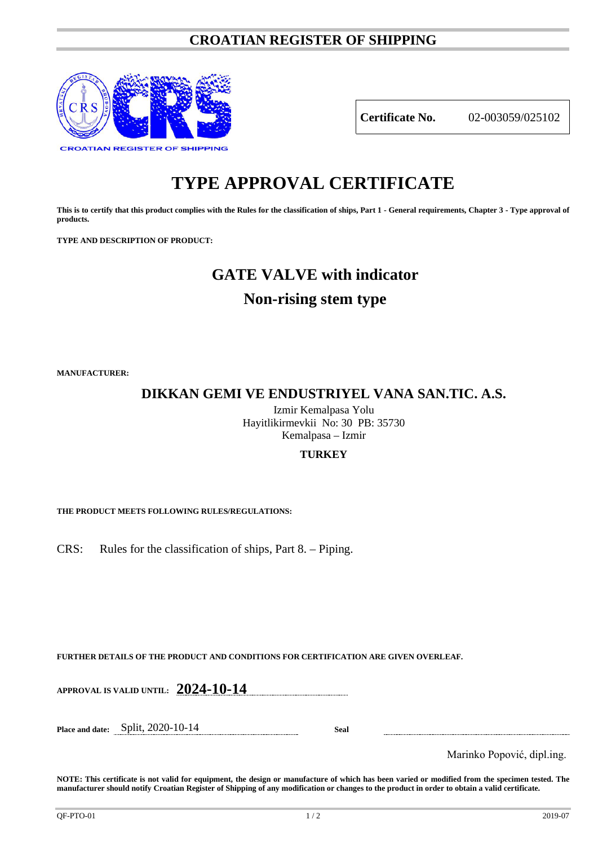## **CROATIAN REGISTER OF SHIPPING**



**Certificate No.** 02-003059/025102

# **TYPE APPROVAL CERTIFICATE**

**This is to certify that this product complies with the Rules for the classification of ships, Part 1 - General requirements, Chapter 3 - Type approval of products.**

**TYPE AND DESCRIPTION OF PRODUCT:** 

# **GATE VALVE with indicator**

## **Non-rising stem type**

**MANUFACTURER:**

## **DIKKAN GEMI VE ENDUSTRIYEL VANA SAN.TIC. A.S.**

Izmir Kemalpasa Yolu Hayitlikirmevkii No: 30 PB: 35730 Kemalpasa – Izmir

### **TURKEY**

**THE PRODUCT MEETS FOLLOWING RULES/REGULATIONS:**

CRS: Rules for the classification of ships, Part 8. – Piping.

**FURTHER DETAILS OF THE PRODUCT AND CONDITIONS FOR CERTIFICATION ARE GIVEN OVERLEAF.**

**APPROVAL IS VALID UNTIL: 2024-10-14**

**Place and date:** Split, 2020-10-14 **Seal**

Marinko Popović, dipl.ing.

**NOTE: This certificate is not valid for equipment, the design or manufacture of which has been varied or modified from the specimen tested. The manufacturer should notify Croatian Register of Shipping of any modification or changes to the product in order to obtain a valid certificate.**